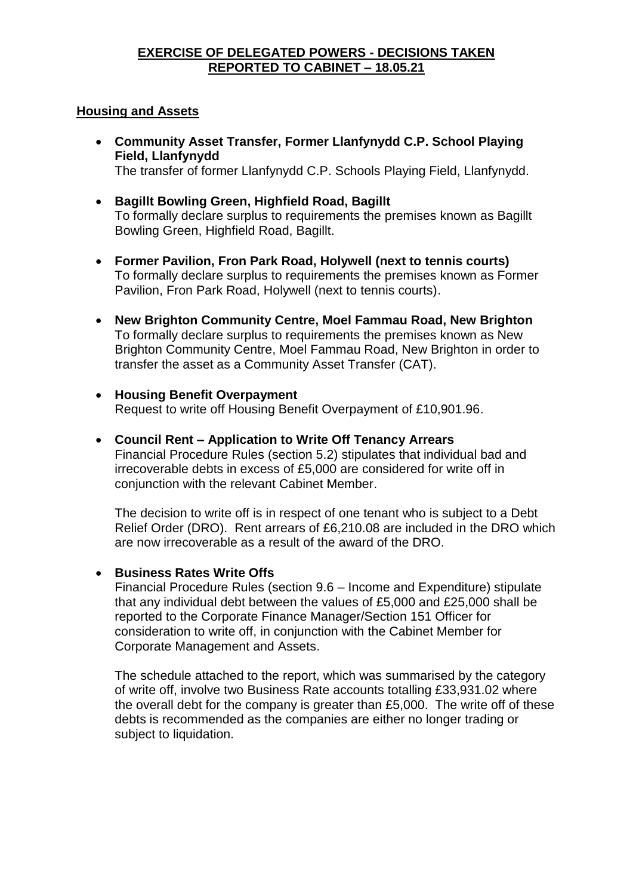### **EXERCISE OF DELEGATED POWERS - DECISIONS TAKEN REPORTED TO CABINET – 18.05.21**

### **Housing and Assets**

 **Community Asset Transfer, Former Llanfynydd C.P. School Playing Field, Llanfynydd**

The transfer of former Llanfynydd C.P. Schools Playing Field, Llanfynydd.

- **Bagillt Bowling Green, Highfield Road, Bagillt** To formally declare surplus to requirements the premises known as Bagillt Bowling Green, Highfield Road, Bagillt.
- **Former Pavilion, Fron Park Road, Holywell (next to tennis courts)** To formally declare surplus to requirements the premises known as Former Pavilion, Fron Park Road, Holywell (next to tennis courts).
- **New Brighton Community Centre, Moel Fammau Road, New Brighton** To formally declare surplus to requirements the premises known as New Brighton Community Centre, Moel Fammau Road, New Brighton in order to transfer the asset as a Community Asset Transfer (CAT).
- **Housing Benefit Overpayment** Request to write off Housing Benefit Overpayment of £10,901.96.
- **Council Rent – Application to Write Off Tenancy Arrears** Financial Procedure Rules (section 5.2) stipulates that individual bad and irrecoverable debts in excess of £5,000 are considered for write off in conjunction with the relevant Cabinet Member.

The decision to write off is in respect of one tenant who is subject to a Debt Relief Order (DRO). Rent arrears of £6,210.08 are included in the DRO which are now irrecoverable as a result of the award of the DRO.

## **• Business Rates Write Offs**

Financial Procedure Rules (section 9.6 – Income and Expenditure) stipulate that any individual debt between the values of £5,000 and £25,000 shall be reported to the Corporate Finance Manager/Section 151 Officer for consideration to write off, in conjunction with the Cabinet Member for Corporate Management and Assets.

The schedule attached to the report, which was summarised by the category of write off, involve two Business Rate accounts totalling £33,931.02 where the overall debt for the company is greater than £5,000. The write off of these debts is recommended as the companies are either no longer trading or subject to liquidation.